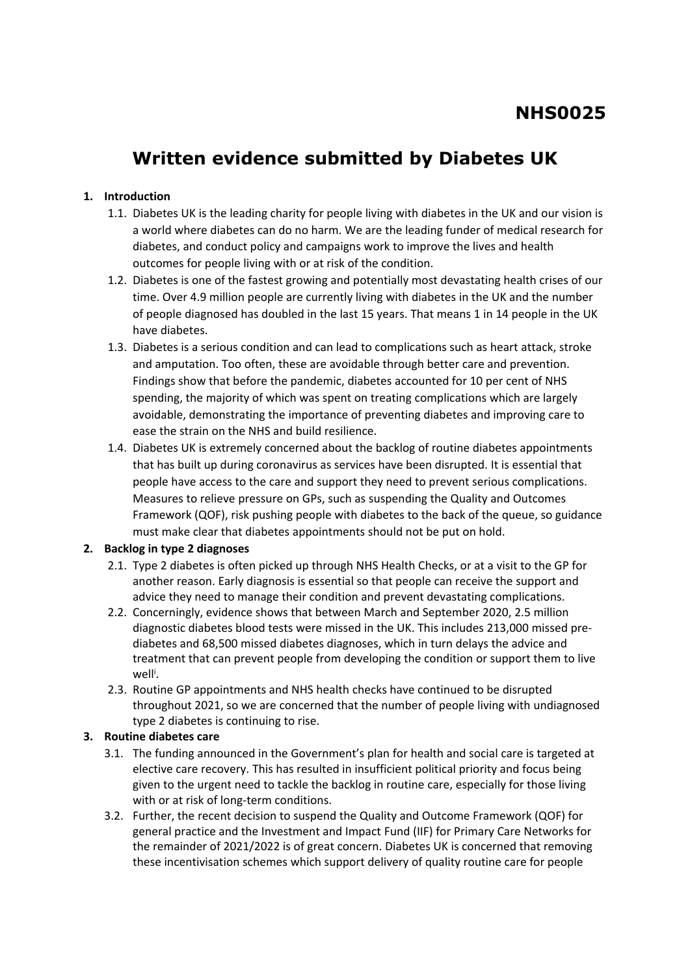# **Written evidence submitted by Diabetes UK**

## **1. Introduction**

- 1.1. Diabetes UK is the leading charity for people living with diabetes in the UK and our vision is a world where diabetes can do no harm. We are the leading funder of medical research for diabetes, and conduct policy and campaigns work to improve the lives and health outcomes for people living with or at risk of the condition.
- 1.2. Diabetes is one of the fastest growing and potentially most devastating health crises of our time. Over 4.9 million people are currently living with diabetes in the UK and the number of people diagnosed has doubled in the last 15 years. That means 1 in 14 people in the UK have diabetes.
- 1.3. Diabetes is a serious condition and can lead to complications such as heart attack, stroke and amputation. Too often, these are avoidable through better care and prevention. Findings show that before the pandemic, diabetes accounted for 10 per cent of NHS spending, the majority of which was spent on treating complications which are largely avoidable, demonstrating the importance of preventing diabetes and improving care to ease the strain on the NHS and build resilience.
- 1.4. Diabetes UK is extremely concerned about the backlog of routine diabetes appointments that has built up during coronavirus as services have been disrupted. It is essential that people have access to the care and support they need to prevent serious complications. Measures to relieve pressure on GPs, such as suspending the Quality and Outcomes Framework (QOF), risk pushing people with diabetes to the back of the queue, so guidance must make clear that diabetes appointments should not be put on hold.

## **2. Backlog in type 2 diagnoses**

- 2.1. Type 2 diabetes is often picked up through NHS Health Checks, or at a visit to the GP for another reason. Early diagnosis is essential so that people can receive the support and advice they need to manage their condition and prevent devastating complications.
- 2.2. Concerningly, evidence shows that between March and September 2020, 2.5 million diagnostic diabetes blood tests were missed in the UK. This includes 213,000 missed prediabetes and 68,500 missed diabetes diagnoses, which in turn delays the advice and treatment that can prevent people from developing the condition or support them to live well<sup>i</sup>.
- 2.3. Routine GP appointments and NHS health checks have continued to be disrupted throughout 2021, so we are concerned that the number of people living with undiagnosed type 2 diabetes is continuing to rise.

## **3. Routine diabetes care**

- 3.1. The funding announced in the Government's plan for health and social care is targeted at elective care recovery. This has resulted in insufficient political priority and focus being given to the urgent need to tackle the backlog in routine care, especially for those living with or at risk of long-term conditions.
- 3.2. Further, the recent decision to suspend the Quality and Outcome Framework (QOF) for general practice and the Investment and Impact Fund (IIF) for Primary Care Networks for the remainder of 2021/2022 is of great concern. Diabetes UK is concerned that removing these incentivisation schemes which support delivery of quality routine care for people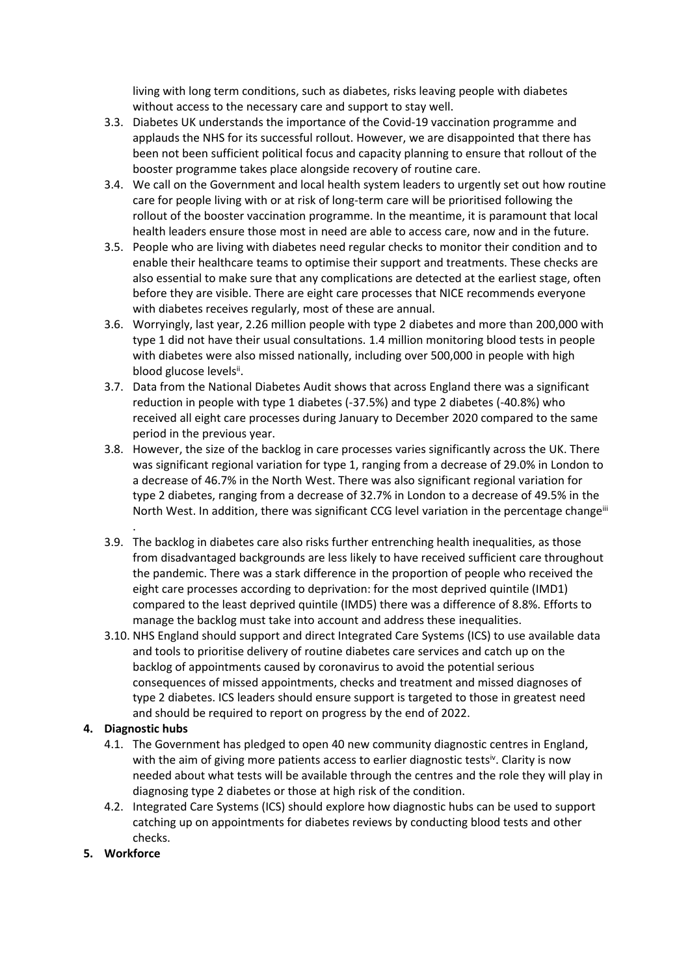living with long term conditions, such as diabetes, risks leaving people with diabetes without access to the necessary care and support to stay well.

- 3.3. Diabetes UK understands the importance of the Covid-19 vaccination programme and applauds the NHS for its successful rollout. However, we are disappointed that there has been not been sufficient political focus and capacity planning to ensure that rollout of the booster programme takes place alongside recovery of routine care.
- 3.4. We call on the Government and local health system leaders to urgently set out how routine care for people living with or at risk of long-term care will be prioritised following the rollout of the booster vaccination programme. In the meantime, it is paramount that local health leaders ensure those most in need are able to access care, now and in the future.
- 3.5. People who are living with diabetes need regular checks to monitor their condition and to enable their healthcare teams to optimise their support and treatments. These checks are also essential to make sure that any complications are detected at the earliest stage, often before they are visible. There are eight care processes that NICE recommends everyone with diabetes receives regularly, most of these are annual.
- 3.6. Worryingly, last year, 2.26 million people with type 2 diabetes and more than 200,000 with type 1 did not have their usual consultations. 1.4 million monitoring blood tests in people with diabetes were also missed nationally, including over 500,000 in people with high blood glucose levelsii.
- 3.7. Data from the National Diabetes Audit shows that across England there was a significant reduction in people with type 1 diabetes (-37.5%) and type 2 diabetes (-40.8%) who received all eight care processes during January to December 2020 compared to the same period in the previous year.
- 3.8. However, the size of the backlog in care processes varies significantly across the UK. There was significant regional variation for type 1, ranging from a decrease of 29.0% in London to a decrease of 46.7% in the North West. There was also significant regional variation for type 2 diabetes, ranging from a decrease of 32.7% in London to a decrease of 49.5% in the North West. In addition, there was significant CCG level variation in the percentage changeiii
- 3.9. The backlog in diabetes care also risks further entrenching health inequalities, as those from disadvantaged backgrounds are less likely to have received sufficient care throughout the pandemic. There was a stark difference in the proportion of people who received the eight care processes according to deprivation: for the most deprived quintile (IMD1) compared to the least deprived quintile (IMD5) there was a difference of 8.8%. Efforts to manage the backlog must take into account and address these inequalities.
- 3.10. NHS England should support and direct Integrated Care Systems (ICS) to use available data and tools to prioritise delivery of routine diabetes care services and catch up on the backlog of appointments caused by coronavirus to avoid the potential serious consequences of missed appointments, checks and treatment and missed diagnoses of type 2 diabetes. ICS leaders should ensure support is targeted to those in greatest need and should be required to report on progress by the end of 2022.

## **4. Diagnostic hubs**

.

- 4.1. The Government has pledged to open 40 new community diagnostic centres in England, with the aim of giving more patients access to earlier diagnostic tests<sup>iv</sup>. Clarity is now needed about what tests will be available through the centres and the role they will play in diagnosing type 2 diabetes or those at high risk of the condition.
- 4.2. Integrated Care Systems (ICS) should explore how diagnostic hubs can be used to support catching up on appointments for diabetes reviews by conducting blood tests and other checks.
- **5. Workforce**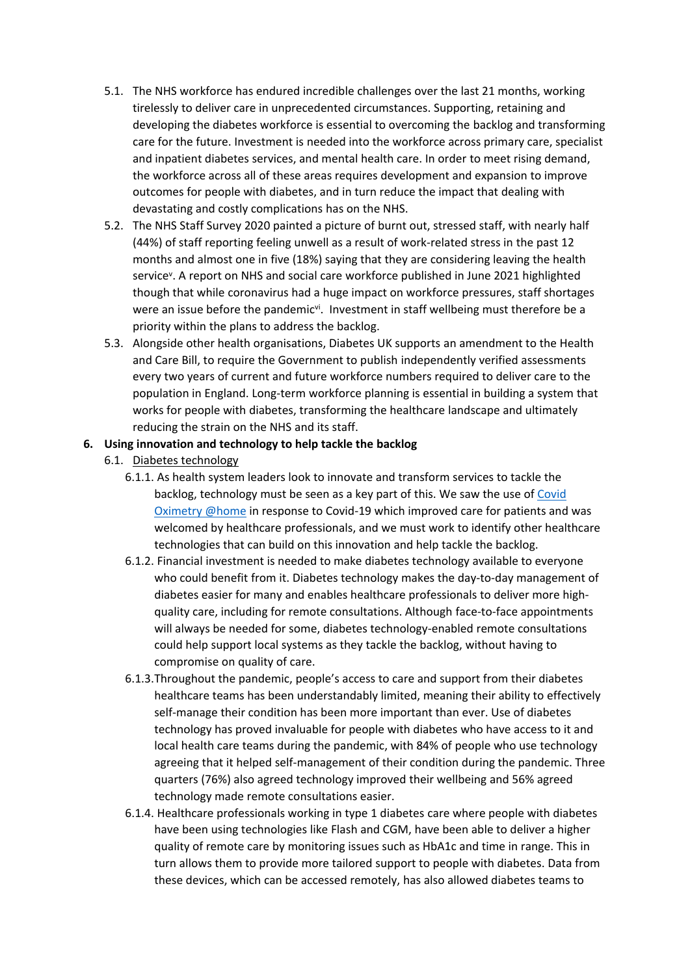- 5.1. The NHS workforce has endured incredible challenges over the last 21 months, working tirelessly to deliver care in unprecedented circumstances. Supporting, retaining and developing the diabetes workforce is essential to overcoming the backlog and transforming care for the future. Investment is needed into the workforce across primary care, specialist and inpatient diabetes services, and mental health care. In order to meet rising demand, the workforce across all of these areas requires development and expansion to improve outcomes for people with diabetes, and in turn reduce the impact that dealing with devastating and costly complications has on the NHS.
- 5.2. The NHS Staff Survey 2020 painted a picture of burnt out, stressed staff, with nearly half (44%) of staff reporting feeling unwell as a result of work-related stress in the past 12 months and almost one in five (18%) saying that they are considering leaving the health service<sup>v</sup>. A report on NHS and social care workforce published in June 2021 highlighted though that while coronavirus had a huge impact on workforce pressures, staff shortages were an issue before the pandemic<sup>vi</sup>. Investment in staff wellbeing must therefore be a priority within the plans to address the backlog.
- 5.3. Alongside other health organisations, Diabetes UK supports an amendment to the Health and Care Bill, to require the Government to publish independently verified assessments every two years of current and future workforce numbers required to deliver care to the population in England. Long-term workforce planning is essential in building a system that works for people with diabetes, transforming the healthcare landscape and ultimately reducing the strain on the NHS and its staff.

#### **6. Using innovation and technology to help tackle the backlog**

- 6.1. Diabetes technology
	- 6.1.1. As health system leaders look to innovate and transform services to tackle the backlog, technology must be seen as a key part of this. We saw the use of [Covid](https://www.england.nhs.uk/nhs-at-home/covid-oximetry-at-home/) [Oximetry](https://www.england.nhs.uk/nhs-at-home/covid-oximetry-at-home/) [@home](https://www.england.nhs.uk/nhs-at-home/covid-oximetry-at-home/) in response to Covid-19 which improved care for patients and was welcomed by healthcare professionals, and we must work to identify other healthcare technologies that can build on this innovation and help tackle the backlog.
	- 6.1.2. Financial investment is needed to make diabetes technology available to everyone who could benefit from it. Diabetes technology makes the day-to-day management of diabetes easier for many and enables healthcare professionals to deliver more highquality care, including for remote consultations. Although face-to-face appointments will always be needed for some, diabetes technology-enabled remote consultations could help support local systems as they tackle the backlog, without having to compromise on quality of care.
	- 6.1.3.Throughout the pandemic, people's access to care and support from their diabetes healthcare teams has been understandably limited, meaning their ability to effectively self-manage their condition has been more important than ever. Use of diabetes technology has proved invaluable for people with diabetes who have access to it and local health care teams during the pandemic, with 84% of people who use technology agreeing that it helped self-management of their condition during the pandemic. Three quarters (76%) also agreed technology improved their wellbeing and 56% agreed technology made remote consultations easier.
	- 6.1.4. Healthcare professionals working in type 1 diabetes care where people with diabetes have been using technologies like Flash and CGM, have been able to deliver a higher quality of remote care by monitoring issues such as HbA1c and time in range. This in turn allows them to provide more tailored support to people with diabetes. Data from these devices, which can be accessed remotely, has also allowed diabetes teams to